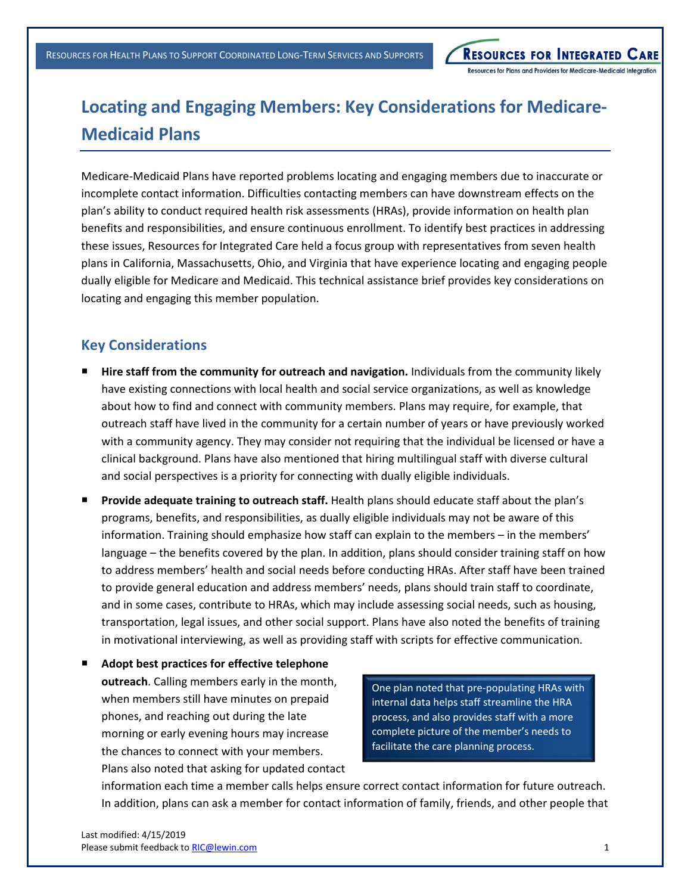**RESOURCES FOR INTEGRATED CARE** Resources for Plans and Providers for Medicare-Medicaid Integration

## **Locating and Engaging Members: Key Considerations for Medicare-Medicaid Plans**

Medicare-Medicaid Plans have reported problems locating and engaging members due to inaccurate or incomplete contact information. Difficulties contacting members can have downstream effects on the plan's ability to conduct required health risk assessments (HRAs), provide information on health plan benefits and responsibilities, and ensure continuous enrollment. To identify best practices in addressing these issues, Resources for Integrated Care held a focus group with representatives from seven health plans in California, Massachusetts, Ohio, and Virginia that have experience locating and engaging people dually eligible for Medicare and Medicaid. This technical assistance brief provides key considerations on locating and engaging this member population.

## **Key Considerations**

- **Hire staff from the community for outreach and navigation.** Individuals from the community likely have existing connections with local health and social service organizations, as well as knowledge about how to find and connect with community members. Plans may require, for example, that outreach staff have lived in the community for a certain number of years or have previously worked with a community agency. They may consider not requiring that the individual be licensed or have a clinical background. Plans have also mentioned that hiring multilingual staff with diverse cultural and social perspectives is a priority for connecting with dually eligible individuals.
- ¡ **Provide adequate training to outreach staff.** Health plans should educate staff about the plan's programs, benefits, and responsibilities, as dually eligible individuals may not be aware of this information. Training should emphasize how staff can explain to the members – in the members' language – the benefits covered by the plan. In addition, plans should consider training staff on how to address members' health and social needs before conducting HRAs. After staff have been trained to provide general education and address members' needs, plans should train staff to coordinate, and in some cases, contribute to HRAs, which may include assessing social needs, such as housing, transportation, legal issues, and other social support. Plans have also noted the benefits of training in motivational interviewing, as well as providing staff with scripts for effective communication.
- ¡ **Adopt best practices for effective telephone outreach**. Calling members early in the month, when members still have minutes on prepaid phones, and reaching out during the late morning or early evening hours may increase the chances to connect with your members. Plans also noted that asking for updated contact

One plan noted that pre-populating HRAs with internal data helps staff streamline the HRA process, and also provides staff with a more complete picture of the member's needs to facilitate the care planning process.

information each time a member calls helps ensure correct contact information for future outreach. In addition, plans can ask a member for contact information of family, friends, and other people that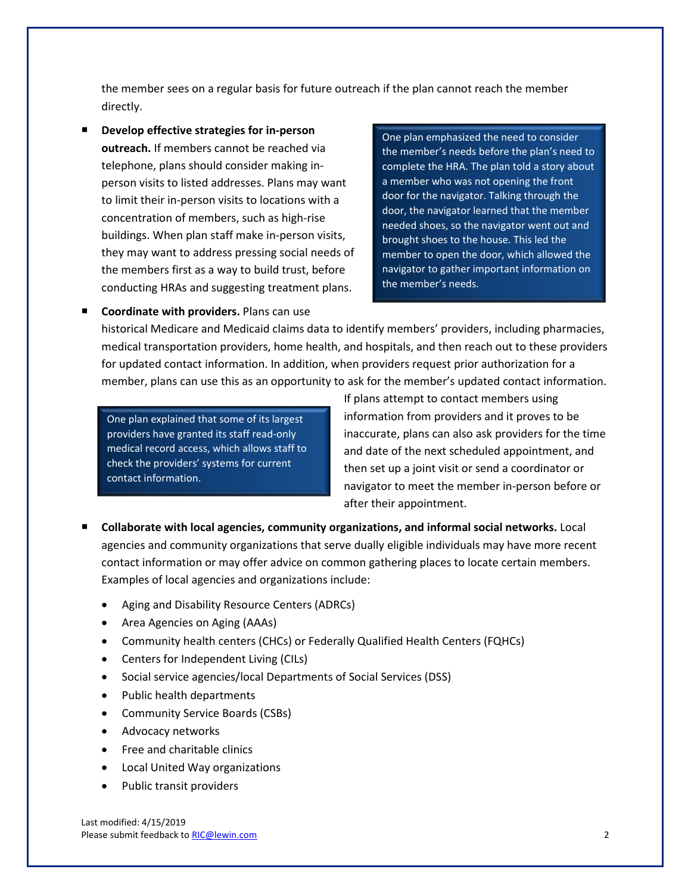the member sees on a regular basis for future outreach if the plan cannot reach the member directly.

**Develop effective strategies for in-person outreach.** If members cannot be reached via telephone, plans should consider making inperson visits to listed addresses. Plans may want to limit their in-person visits to locations with a concentration of members, such as high-rise buildings. When plan staff make in-person visits, they may want to address pressing social needs of the members first as a way to build trust, before conducting HRAs and suggesting treatment plans.

One plan emphasized the need to consider the member's needs before the plan's need to complete the HRA. The plan told a story about a member who was not opening the front door for the navigator. Talking through the door, the navigator learned that the member needed shoes, so the navigator went out and brought shoes to the house. This led the member to open the door, which allowed the navigator to gather important information on the member's needs.

historical Medicare and Medicaid claims data to identify members' providers, including pharmacies, medical transportation providers, home health, and hospitals, and then reach out to these providers for updated contact information. In addition, when providers request prior authorization for a member, plans can use this as an opportunity to ask for the member's updated contact information.

One plan explained that some of its largest providers have granted its staff read-only medical record access, which allows staff to check the providers' systems for current contact information.

¡ **Coordinate with providers.** Plans can use

If plans attempt to contact members using information from providers and it proves to be inaccurate, plans can also ask providers for the time and date of the next scheduled appointment, and then set up a joint visit or send a coordinator or navigator to meet the member in-person before or after their appointment.

- ¡ **Collaborate with local agencies, community organizations, and informal social networks.** Local agencies and community organizations that serve dually eligible individuals may have more recent contact information or may offer advice on common gathering places to locate certain members. Examples of local agencies and organizations include:
	- Aging and Disability Resource Centers (ADRCs)
	- · Area Agencies on Aging (AAAs)
	- · Community health centers (CHCs) or Federally Qualified Health Centers (FQHCs)
	- · Centers for Independent Living (CILs)
	- · Social service agencies/local Departments of Social Services (DSS)
	- · Public health departments
	- · Community Service Boards (CSBs)
	- · Advocacy networks
	- · Free and charitable clinics
	- · Local United Way organizations
	- Public transit providers

Last modified: 4/15/2019 Please submit feedback to RIC@lewin.com 2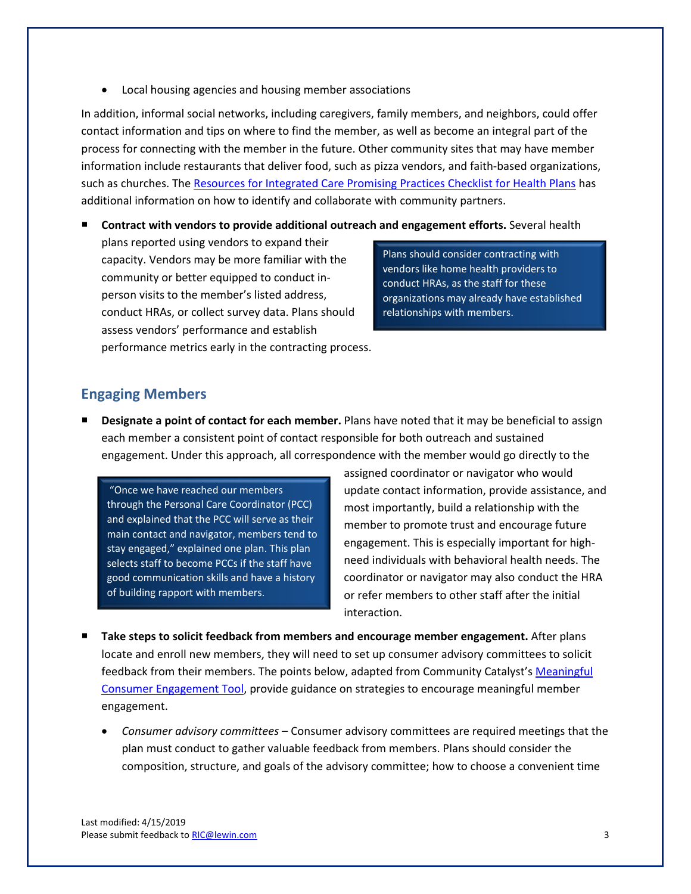· Local housing agencies and housing member associations

In addition, informal social networks, including caregivers, family members, and neighbors, could offer contact information and tips on where to find the member, as well as become an integral part of the process for connecting with the member in the future. Other community sites that may have member information include restaurants that deliver food, such as pizza vendors, and faith-based organizations, such as churches. The [Resources for Integrated Care Promising Practices Checklist for Health Plans](https://www.resourcesforintegratedcare.com/sites/default/files/Promising_Practices_Checklist.pdf) has additional information on how to identify and collaborate with community partners.

¡ **Contract with vendors to provide additional outreach and engagement efforts.** Several health

plans reported using vendors to expand their capacity. Vendors may be more familiar with the community or better equipped to conduct inperson visits to the member's listed address, conduct HRAs, or collect survey data. Plans should assess vendors' performance and establish performance metrics early in the contracting process.

Plans should consider contracting with vendors like home health providers to conduct HRAs, as the staff for these organizations may already have established relationships with members.

## **Engaging Members**

¡ **Designate a point of contact for each member.** Plans have noted that it may be beneficial to assign each member a consistent point of contact responsible for both outreach and sustained engagement. Under this approach, all correspondence with the member would go directly to the

"Once we have reached our members through the Personal Care Coordinator (PCC) and explained that the PCC will serve as their main contact and navigator, members tend to stay engaged," explained one plan. This plan selects staff to become PCCs if the staff have good communication skills and have a history of building rapport with members.

assigned coordinator or navigator who would update contact information, provide assistance, and most importantly, build a relationship with the member to promote trust and encourage future engagement. This is especially important for highneed individuals with behavioral health needs. The coordinator or navigator may also conduct the HRA or refer members to other staff after the initial interaction.

- Take steps to solicit feedback from members and encourage member engagement. After plans locate and enroll new members, they will need to set up consumer advisory committees to solicit feedback from their members. The points below, adapted from Community Catalyst's [Meaningful](https://www.healthinnovation.org/resources/toolkits/meaningful-consumer-engagement)  [Consumer Engagement Tool](https://www.healthinnovation.org/resources/toolkits/meaningful-consumer-engagement), provide guidance on strategies to encourage meaningful member engagement.
	- · *Consumer advisory committees* Consumer advisory committees are required meetings that the plan must conduct to gather valuable feedback from members. Plans should consider the composition, structure, and goals of the advisory committee; how to choose a convenient time